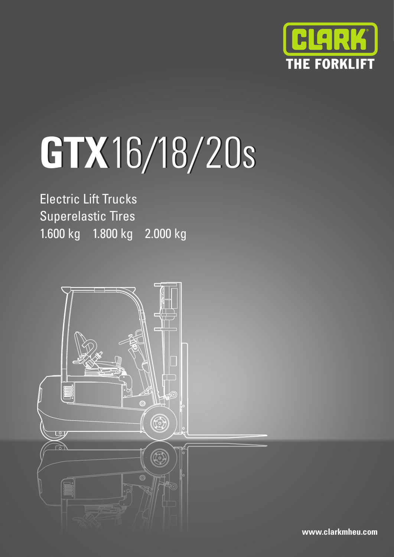

# **GTX**16/18/20s 16/18/20s

Electric Lift Trucks Superelastic Tires 1.600 kg 1.800 kg 2.000 kg



**www.clarkmheu.com**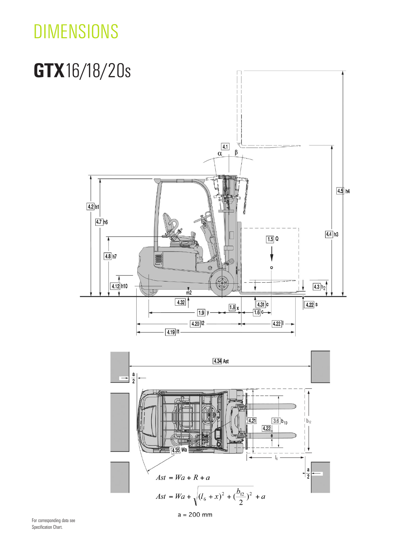## **DIMENSIONS**

# GTX16/18/20s



For corresponding data see Specification Chart.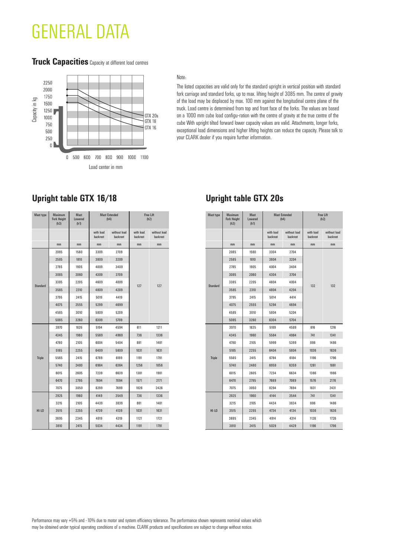### GENERAL DATA

#### **Truck Capacities** Capacity at different load centres



#### Note:

The listed capacities are valid only for the standard upright in vertical position with standard fork carriage and standard forks, up to max. lifting height of 3085 mm. The centre of gravity of the load may be displaced by max. 100 mm against the longitudinal centre plane of the truck. Load centre is determined from top and front face of the forks. The values are based on a 1000 mm cube load configu-ration with the centre of gravity at the true centre of the cube With upright tilted forward lower capacity values are valid. Attachments, longer forks, exceptional load dimensions and higher lifting heights can reduce the capacity. Please talk to your CLARK dealer if you require further information.

| <b>Mast type</b> | Maximum<br><b>Fork Height</b><br>(h3) | <b>Mast</b><br>Lowered<br>(h1) | <b>Mast Extended</b><br>(h4) |                          | Free Lift<br>(h2)     |                          |
|------------------|---------------------------------------|--------------------------------|------------------------------|--------------------------|-----------------------|--------------------------|
|                  |                                       |                                | with load<br>backrest        | without load<br>backrest | with load<br>backrest | without load<br>backrest |
|                  | mm                                    | mm                             | mm                           | mm                       | mm                    | mm                       |
|                  | 2085                                  | 1560                           | 3309                         | 2709                     |                       | 127                      |
|                  | 2585                                  | 1810                           | 3809                         | 3209                     |                       |                          |
|                  | 2785                                  | 1905                           | 4009                         | 3409                     |                       |                          |
|                  | 3085                                  | 2060                           | 4309                         | 3709                     |                       |                          |
| <b>Standard</b>  | 3385                                  | 2205                           | 4609                         | 4009                     | 127                   |                          |
|                  | 3585                                  | 2310                           | 4809                         | 4209                     |                       |                          |
|                  | 3795                                  | 2415                           | 5019                         | 4419                     |                       |                          |
|                  | 4075                                  | 2555                           | 5299                         | 4699                     |                       |                          |
|                  | 4585                                  | 3010                           | 5809                         | 5209                     |                       |                          |
|                  | 5085                                  | 3260                           | 6309                         | 5709                     |                       |                          |
|                  | 3970                                  | 1835                           | 5194                         | 4594                     | 611                   | 1211                     |
|                  | 4345                                  | 1960                           | 5569                         | 4969                     | 736                   | 1336                     |
|                  | 4780                                  | 2105                           | 6004                         | 5404                     | 881                   | 1481                     |
|                  | 5185                                  | 2255                           | 6409                         | 5809                     | 1031                  | 1631                     |
| <b>Triple</b>    | 5565                                  | 2415                           | 6789                         | 6189                     | 1191                  | 1791                     |
|                  | 5740                                  | 2480                           | 6964                         | 6364                     | 1256                  | 1856                     |
|                  | 6015                                  | 2605                           | 7239                         | 6639                     | 1381                  | 1981                     |
|                  | 6470                                  | 2795                           | 7694                         | 7094                     | 1571                  | 2171                     |
|                  | 7075                                  | 3050                           | 8299                         | 7699                     | 1826                  | 2426                     |
|                  | 2925                                  | 1960                           | 4149                         | 3549                     | 736                   | 1336                     |
|                  | 3215                                  | 2105                           | 4439                         | 3839                     | 881                   | 1481                     |
| $HI-LO$          | 3515                                  | 2255                           | 4739                         | 4139                     | 1031                  | 1631                     |
|                  | 3695                                  | 2345                           | 4919                         | 4319                     | 1121                  | 1721                     |
|                  | 3810                                  | 2415                           | 5034                         | 4434                     | 1191                  | 1791                     |

**Upright table GTX 20s**

| <b>Mast type</b> | <b>Maximum</b><br><b>Fork Height</b><br>(h3) | <b>Mast</b><br>Lowered<br>(h1) | <b>Mast Extended</b><br>(h4) |                          | <b>Free Lift</b><br>(h2) |                          |
|------------------|----------------------------------------------|--------------------------------|------------------------------|--------------------------|--------------------------|--------------------------|
|                  |                                              |                                | with load<br>backrest        | without load<br>backrest | with load<br>backrest    | without load<br>backrest |
|                  | mm                                           | mm                             | mm                           | mm                       | mm                       | mm                       |
|                  | 2085                                         | 1560                           | 3304                         | 2704                     |                          | 132                      |
|                  | 2585                                         | 1810                           | 3804                         | 3204                     |                          |                          |
|                  | 2785                                         | 1905                           | 4004                         | 3404                     |                          |                          |
|                  | 3085                                         | 2060                           | 4304                         | 3704                     |                          |                          |
| <b>Standard</b>  | 3385                                         | 2205                           | 4604                         | 4004                     | 132                      |                          |
|                  | 3585                                         | 2310                           | 4804                         | 4204                     |                          |                          |
|                  | 3795                                         | 2415                           | 5014                         | 4414                     |                          |                          |
|                  | 4075                                         | 2555                           | 5294                         | 4694                     |                          |                          |
|                  | 4585                                         | 3010                           | 5804                         | 5204                     |                          |                          |
|                  | 5085                                         | 3260                           | 6304                         | 5704                     |                          |                          |
|                  | 3970                                         | 1835                           | 5189                         | 4589                     | 616                      | 1216                     |
|                  | 4345                                         | 1960                           | 5564                         | 4964                     | 741                      | 1341                     |
|                  | 4780                                         | 2105                           | 5999                         | 5399                     | 886                      | 1486                     |
|                  | 5185                                         | 2255                           | 6404                         | 5804                     | 1036                     | 1636                     |
| <b>Triple</b>    | 5565                                         | 2415                           | 6784                         | 6184                     | 1196                     | 1796                     |
|                  | 5740                                         | 2480                           | 6959                         | 6359                     | 1261                     | 1861                     |
|                  | 6015                                         | 2605                           | 7234                         | 6634                     | 1386                     | 1986                     |
|                  | 6470                                         | 2795                           | 7689                         | 7089                     | 1576                     |                          |
|                  | 7075                                         | 3050                           | 8294                         | 7694                     | 1831                     | 2431                     |
|                  | 2925                                         | 1960                           | 4144                         | 3544                     | 741                      | 1341                     |
|                  | 3215                                         | 2105                           | 4434                         | 3834                     | 886                      | 1486                     |
| $HI$ -LO         | 3515                                         | 2255                           | 4734                         | 4134                     | 1036                     | 1636                     |
|                  | 3695                                         | 2345                           | 4914                         | 4314                     | 1126                     | 1726                     |
|                  | 3810                                         | 2415                           | 5029                         | 4429                     | 1196                     | 1796                     |

Performance may vary +5% and -10% due to motor and system efficiency tolerance. The performance shown represents nominal values which may be obtained under typical operating conditions of a machine. CLARK products and specifications are subject to change without notice.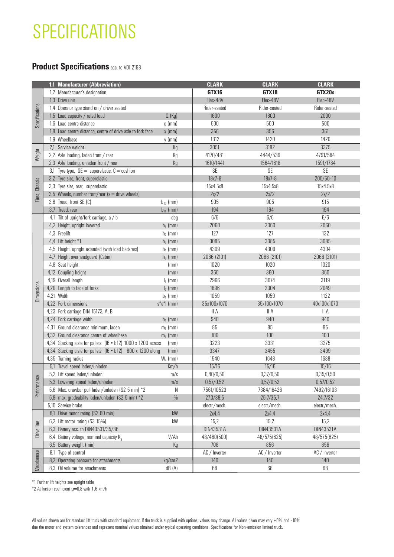### **SPECIFICATIONS**

### **Product Specifications** acc. to VDI 2198

|                | 1,1 Manufacturer (Abbreviation)                                                                                                                                                                                                                                                                                                        |                          | <b>CLARK</b>  | <b>CLARK</b>  | <b>CLARK</b>     |
|----------------|----------------------------------------------------------------------------------------------------------------------------------------------------------------------------------------------------------------------------------------------------------------------------------------------------------------------------------------|--------------------------|---------------|---------------|------------------|
|                | 1,2 Manufacturer's designation                                                                                                                                                                                                                                                                                                         |                          | GTX16         | GTX18         | GTX20s           |
| Specifications | 1,3 Drive unit                                                                                                                                                                                                                                                                                                                         |                          | Elec-48V      | Elec-48V      | Elec-48V         |
|                | 1,4 Operator type stand on / driver seated                                                                                                                                                                                                                                                                                             |                          | Rider-seated  | Rider-seated  | Rider-seated     |
|                | 1,5 Load capacity / rated load                                                                                                                                                                                                                                                                                                         | Q(Kg)                    | 1600          | 1800          | 2000             |
|                | 1,6 Load centre distance                                                                                                                                                                                                                                                                                                               | $c$ (mm)                 | 500           | 500           | 500              |
|                | 1,8 Load centre distance, centre of drive axle to fork face                                                                                                                                                                                                                                                                            | $x$ (mm)                 | 356           | 356           | 361              |
|                | 1,9 Wheelbase                                                                                                                                                                                                                                                                                                                          | $y$ (mm)                 | 1312          | 1420          | 1420             |
|                | 2,1 Service weight                                                                                                                                                                                                                                                                                                                     | Kg                       | 3051          | 3182          | 3375             |
| Weight         | 2,2 Axle loading, laden front / rear                                                                                                                                                                                                                                                                                                   | Кg                       | 4170/481      | 4444/539      | 4791/584         |
|                | 2,3 Axle loading, unladen front / rear                                                                                                                                                                                                                                                                                                 | Кg                       | 1610/1441     | 1564/1618     | 1591/1784        |
|                | 3,1 Tyre type, $SE =$ superelastic, $C =$ cushion                                                                                                                                                                                                                                                                                      |                          | SE            | SE            | SE               |
| Chassis        | 3,2 Tyre size, front, superelastic                                                                                                                                                                                                                                                                                                     |                          | $18x7 - 8$    | $18x7 - 8$    | $200/50 - 10$    |
|                | 3,3 Tyre size, rear, superelastic                                                                                                                                                                                                                                                                                                      |                          | 15x4.5x8      | 15x4.5x8      | 15x4.5x8         |
| Tires,         | 3,5 Wheels, number front/rear $(x =$ drive wheels)                                                                                                                                                                                                                                                                                     |                          | 2x/2          | 2x/2          | 2x/2             |
|                | 3,6 Tread, front SE (C)                                                                                                                                                                                                                                                                                                                | $b_{10}$ (mm)            | 905           | 905           | 915              |
|                | 3,7 Tread, rear                                                                                                                                                                                                                                                                                                                        | $b_{11}$ (mm)            | 194           | 194           | 194              |
|                | 4,1 Tilt of upright/fork carriage, a / b                                                                                                                                                                                                                                                                                               | deg                      | 6/6           | 6/6           | 6/6              |
|                | 4,2 Height, upright lowered<br>4,3 Freelift                                                                                                                                                                                                                                                                                            | $h_1$ (mm)               | 2060<br>127   | 2060<br>127   | 2060<br>132      |
|                |                                                                                                                                                                                                                                                                                                                                        | $h_2$ (mm)               | 3085          | 3085          | 3085             |
|                | 4,4 Lift height *1<br>4,5 Height, upright extended (with load backrest)                                                                                                                                                                                                                                                                | $h_3$ (mm)<br>$h_4$ (mm) | 4309          | 4309          | 4304             |
|                | 4,7 Height overheadguard (Cabin)                                                                                                                                                                                                                                                                                                       | $h_6$ (mm)               | 2066 (2101)   | 2066 (2101)   | 2066 (2101)      |
|                | 4,8 Seat height                                                                                                                                                                                                                                                                                                                        | (mm)                     | 1020          | 1020          | 1020             |
|                | 4,12 Coupling height                                                                                                                                                                                                                                                                                                                   | (mm)                     | 360           | 360           | 360              |
|                | 4,19 Overall length                                                                                                                                                                                                                                                                                                                    | $I_1$ (mm)               | 2966          | 3074          | 3119             |
| Dimensions     | 4,20 Length to face of forks                                                                                                                                                                                                                                                                                                           | $I_2$ (mm)               | 1896          | 2004          | 2049             |
|                | 4,21 Width                                                                                                                                                                                                                                                                                                                             | $b_1$ (mm)               | 1059          | 1059          | 1122             |
|                | 4,22 Fork dimensions                                                                                                                                                                                                                                                                                                                   | $s^*e^*$   (mm)          | 35x100x1070   | 35x100x1070   | 40x100x1070      |
|                | 4,23 Fork carriage DIN 15173, A, B                                                                                                                                                                                                                                                                                                     |                          | II A          | II A          | II A             |
|                | 4,24 Fork carriage width                                                                                                                                                                                                                                                                                                               | $b_3$ (mm)               | 940           | 940           | 940              |
|                | 4,31 Ground clearance minimum, laden                                                                                                                                                                                                                                                                                                   | $m_1$ (mm)               | 85            | 85            | 85               |
|                | 4,32 Ground clearance centre of wheelbase                                                                                                                                                                                                                                                                                              | $m_2$ (mm)               | 100           | 100           | 100              |
|                | 4,34 Stacking aisle for pallets (I6 • b12) 1000 x 1200 across                                                                                                                                                                                                                                                                          | (mm)                     | 3223          | 3331          | 3375             |
|                | 4,34 Stacking aisle for pallets (I6 . b12) 800 x 1200 along                                                                                                                                                                                                                                                                            | (mm)                     | 3347          | 3455          | 3499             |
|                | 4,35 Turning radius                                                                                                                                                                                                                                                                                                                    | $W_a$ (mm)               | 1540          | 1648          | 1688             |
|                | 5,1 Travel speed laden/unladen                                                                                                                                                                                                                                                                                                         | Km/h                     | 15/16         | 15/16         | 15/16            |
|                | 5,2 Lift speed laden/unladen                                                                                                                                                                                                                                                                                                           | m/s                      | 0,40/0,50     | 0,37/0,50     | 0,35/0,50        |
|                | 5,3 Lowering speed laden/unladen                                                                                                                                                                                                                                                                                                       | m/s                      | 0,57/0,52     | 0,57/0,52     | 0,57/0,52        |
| Performance    | 5,6 Max. drawbar pull laden/unladen (S2 5 min) *2                                                                                                                                                                                                                                                                                      | N                        | 7561/10523    | 7384/16426    | 7492/16103       |
|                | 5,8 max. gradeability laden/unladen (S2 5 min) *2                                                                                                                                                                                                                                                                                      | $0/_{0}$                 | 27,3/38,5     | 25,7/35,7     | 24,7/32          |
|                | 5,10 Service brake                                                                                                                                                                                                                                                                                                                     |                          | electr./mech. | electr./mech. | electr./mech.    |
|                | 6,1 Drive motor rating (S2 60 min)                                                                                                                                                                                                                                                                                                     | $\mathsf{k}\mathsf{W}$   | 2x4.4         | 2x4.4         | 2x4.4            |
|                | 6,2 Lift motor rating (S3 15%)                                                                                                                                                                                                                                                                                                         | kW                       | 15,2          | 15,2          | 15,2             |
| Drive line     | 6,3 Battery acc. to DIN43531/35/36                                                                                                                                                                                                                                                                                                     |                          | DIN43531A     | DIN43531A     | <b>DIN43531A</b> |
| Miscellaneous  | 6,4 Battery voltage, nominal capacity $K_{\rm g}$                                                                                                                                                                                                                                                                                      | V/Ah                     | 48/460(500)   | 48/575(625)   | 48/575(625)      |
|                | 6,5 Battery weight (min)                                                                                                                                                                                                                                                                                                               | Kg                       | 708           | 856           | 856              |
|                | 8,1 Type of control                                                                                                                                                                                                                                                                                                                    |                          | AC / Inverter | AC / Inverter | AC / Inverter    |
|                | 8,2 Operating pressure for attachments                                                                                                                                                                                                                                                                                                 | kg/cm2                   | 140           | 140           | 140              |
|                | 8,3 Oil volume for attachments                                                                                                                                                                                                                                                                                                         | dB(A)                    | 68            | 68            | 68               |
|                | *1 Further lift heights see upright table<br>*2 At friction coefficient $\mu$ =0.8 with 1.6 km/h                                                                                                                                                                                                                                       |                          |               |               |                  |
|                | All values shown are for standard lift truck with standard equipment. If the truck is supplied with options, values may change. All values given may vary +5% and -10%<br>due the motor and system tolerances and represent nominal values obtained under typical operating conditions. Specifications for Non-emission limited truck. |                          |               |               |                  |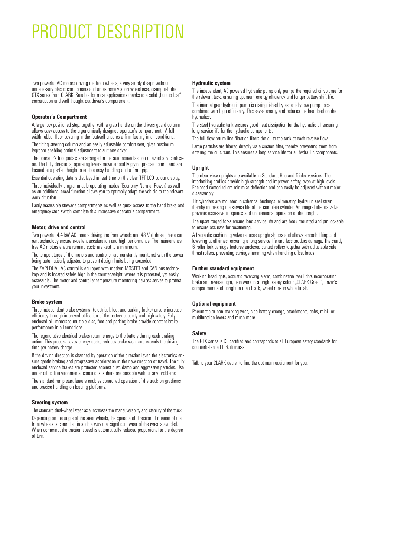### PRODUCT DESCRIPTION

Two powerful AC motors driving the front wheels, a very sturdy design without unnecessary plastic components and an extremely short wheelbase, distinguish the GTX series from CLARK. Suitable for most applications thanks to a solid "built to last" construction and well thought-out driver's compartment.

#### **Operator's Compartment**

A large low positioned step, together with a grab handle on the drivers guard column allows easy access to the ergonomically designed operator's compartment. A full width rubber floor covering in the footwell ensures a firm footing in all conditions.

The tilting steering column and an easily adjustable comfort seat, gives maximum legroom enabling optimal adjustment to suit any driver.

The operator's foot pedals are arranged in the automotive fashion to avoid any confusion. The fully directional operating levers move smoothly giving precise control and are located at a perfect height to enable easy handling and a firm grip.

Essential operating data is displayed in real-time on the clear TFT LCD colour display.

Three individually programmable operating modes (Economy-Normal-Power) as well as an additional crawl function allows you to optimally adapt the vehicle to the relevant work situation.

Easily accessible stowage compartments as well as quick access to the hand brake and emergency stop switch complete this impressive operator's compartment.

#### **Motor, drive and control**

Two powerful 4.4 kW AC motors driving the front wheels and 48 Volt three-phase cur rent technology ensure excellent acceleration and high performance. The maintenance free AC motors ensure running costs are kept to a minimum.

The temperatures of the motors and controller are constantly monitored with the power being automatically adjusted to prevent design limits being exceeded.

The ZAPI DUAL AC control is equipped with modern MOSFET and CAN bus technology and is located safely, high in the counterweight, where it is protected, yet easily accessible. The motor and controller temperature monitoring devices serves to protect your investment.

#### **Brake system**

Three independent brake systems (electrical, foot and parking brake) ensure increase efficiency through improved utilisation of the battery capacity and high safety. Fully enclosed oil-immersed multiple-disc, foot and parking brake provide constant brake performance in all conditions.

The regenerative electrical brakes return energy to the battery during each braking action. This process saves energy costs, reduces brake wear and extends the driving time per battery charge.

If the driving direction is changed by operation of the direction lever, the electronics ensure gentle braking and progressive acceleration in the new direction of travel. The fully enclosed service brakes are protected against dust, damp and aggressive particles. Use under difficult environmental conditions is therefore possible without any problems.

The standard ramp start feature enables controlled operation of the truck on gradients and precise handling on loading platforms.

#### **Steering system**

The standard dual-wheel steer axle increases the maneuverabilty and stability of the truck. Depending on the angle of the steer wheels, the speed and direction of rotation of the front wheels is controlled in such a way that significant wear of the tyres is avoided. When cornering, the traction speed is automatically reduced proportional to the degree of turn.

#### **Hydraulic system**

The independent, AC powered hydraulic pump only pumps the required oil volume for the relevant task, ensuring optimum energy efficiency and longer battery shift life. The internal gear hydraulic pump is distinguished by especially low pump noise

combined with high efficiency. This saves energy and reduces the heat load on the hydraulics.

The steel hydraulic tank ensures good heat dissipation for the hydraulic oil ensuring long service life for the hydraulic components.

The full-flow return line filtration filters the oil to the tank at each reverse flow.

Large particles are filtered directly via a suction filter, thereby preventing them from entering the oil circuit. This ensures a long service life for all hydraulic components.

#### **Upright**

The clear-view uprights are available in Standard, Hilo and Triplex versions. The interlocking profiles provide high strength and improved safety, even at high levels. Enclosed canted rollers minimize deflection and can easily be adjusted without major disassembly.

Tilt cylinders are mounted in spherical bushings, eliminating hydraulic seal strain, thereby increasing the service life of the complete cylinder. An integral tilt-lock valve prevents excessive tilt speeds and unintentional operation of the upright.

The upset forged forks ensure long service life and are hook mounted and pin lockable to ensure accurate for positioning.

A hydraulic cushioning valve reduces upright shocks and allows smooth lifting and lowering at all times, ensuring a long service life and less product damage. The sturdy 6-roller fork carriage features enclosed canted rollers together with adjustable side thrust rollers, preventing carriage jamming when handling offset loads.

#### **Further standard equipment**

Working headlights, acoustic reversing alarm, combination rear lights incorporating brake and reverse light, paintwork in a bright safety colour "CLARK Green", driver's compartment and upright in matt black, wheel rims in white finish.

#### **Optional equipment**

Pneumatic or non-marking tyres, side battery change, attachments, cabs, mini- or multifunction levers and much more

#### **Safety**

The GTX series is CE certified and corresponds to all European safety standards for counterbalanced forklift trucks.

Talk to your CLARK dealer to find the optimum equipment for you.